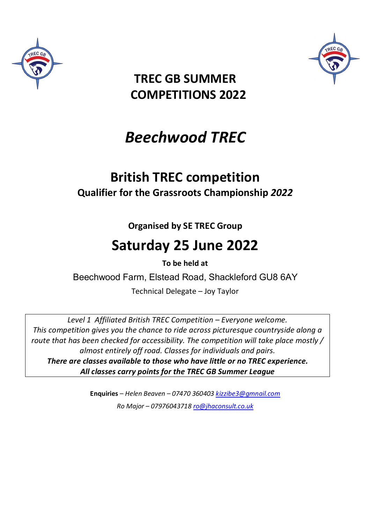



# **TREC GB SUMMER COMPETITIONS 2022**

# *Beechwood TREC*

# **British TREC competition Qualifier for the Grassroots Championship** *2022*

**Organised by SE TREC Group**

# **Saturday 25 June 2022**

**To be held at** 

Beechwood Farm, Elstead Road, Shackleford GU8 6AY

Technical Delegate – Joy Taylor

*Level 1 Affiliated British TREC Competition – Everyone welcome. This competition gives you the chance to ride across picturesque countryside along a route that has been checked for accessibility. The competition will take place mostly / almost entirely off road. Classes for individuals and pairs. There are classes available to those who have little or no TREC experience. All classes carry points for the TREC GB Summer League* 

> **Enquiries** – *Helen Beaven – 07470 360403 kizzibe3@gmnail.com Ro Major – 07976043718 ro@jhaconsult.co.uk*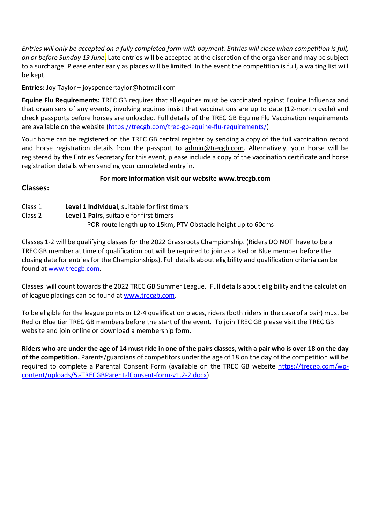*Entries will only be accepted on a fully completed form with payment. Entries will close when competition is full, on or before Sunday 19 June.* Late entries will be accepted at the discretion of the organiser and may be subject to a surcharge. Please enter early as places will be limited. In the event the competition is full, a waiting list will be kept.

**Entries:** Joy Taylor **–** joyspencertaylor@hotmail.com

**Equine Flu Requirements:** TREC GB requires that all equines must be vaccinated against Equine Influenza and that organisers of any events, involving equines insist that vaccinations are up to date (12-month cycle) and check passports before horses are unloaded. Full details of the TREC GB Equine Flu Vaccination requirements are available on the website (https://trecgb.com/trec-gb-equine-flu-requirements/)

Your horse can be registered on the TREC GB central register by sending a copy of the full vaccination record and horse registration details from the passport to admin@trecgb.com. Alternatively, your horse will be registered by the Entries Secretary for this event, please include a copy of the vaccination certificate and horse registration details when sending your completed entry in.

#### **For more information visit our website www.trecgb.com**

### **Classes:**

Class 1 **Level 1 Individual**, suitable for first timers Class 2 **Level 1 Pairs**, suitable for first timers POR route length up to 15km, PTV Obstacle height up to 60cms

Classes 1-2 will be qualifying classes for the 2022 Grassroots Championship. (Riders DO NOT have to be a TREC GB member at time of qualification but will be required to join as a Red or Blue member before the closing date for entries for the Championships). Full details about eligibility and qualification criteria can be found at www.trecgb.com.

Classes will count towards the 2022 TREC GB Summer League. Full details about eligibility and the calculation of league placings can be found at www.trecgb.com.

To be eligible for the league points or L2-4 qualification places, riders (both riders in the case of a pair) must be Red or Blue tier TREC GB members before the start of the event. To join TREC GB please visit the TREC GB website and join online or download a membership form.

**Riders who are under the age of 14 must ride in one of the pairs classes, with a pair who is over 18 on the day of the competition.** Parents/guardians of competitors under the age of 18 on the day of the competition will be required to complete a Parental Consent Form (available on the TREC GB website https://trecgb.com/wpcontent/uploads/5.-TRECGBParentalConsent-form-v1.2-2.docx).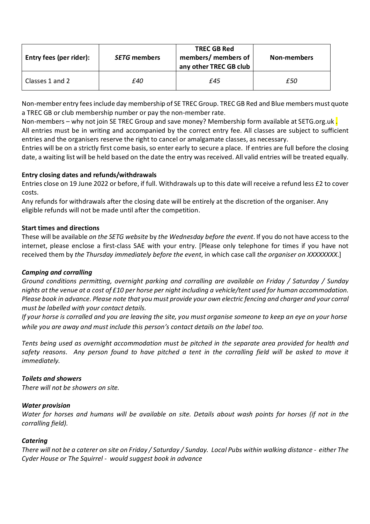| Entry fees (per rider): | <b>SETG</b> members | <b>TREC GB Red</b><br>members/ members of<br>any other TREC GB club | Non-members |
|-------------------------|---------------------|---------------------------------------------------------------------|-------------|
| Classes 1 and 2         | £40                 | f45                                                                 | £50         |

Non-member entry fees include day membership of SE TREC Group. TREC GB Red and Blue members must quote a TREC GB or club membership number or pay the non-member rate.

Non-members – why not join SE TREC Group and save money? Membership form available at SETG.org.uk. All entries must be in writing and accompanied by the correct entry fee. All classes are subject to sufficient entries and the organisers reserve the right to cancel or amalgamate classes, as necessary.

Entries will be on a strictly first come basis, so enter early to secure a place. If entries are full before the closing date, a waiting list will be held based on the date the entry was received. All valid entries will be treated equally.

#### **Entry closing dates and refunds/withdrawals**

Entries close on 19 June 2022 or before, if full. Withdrawals up to this date will receive a refund less £2 to cover costs.

Any refunds for withdrawals after the closing date will be entirely at the discretion of the organiser. Any eligible refunds will not be made until after the competition.

#### **Start times and directions**

These will be available *on the SETG website* by *the Wednesday before the event*. If you do not have access to the internet, please enclose a first-class SAE with your entry. [Please only telephone for times if you have not received them by *the Thursday immediately before the event*, in which case call *the organiser on XXXXXXXX*.]

#### *Camping and corralling*

*Ground conditions permitting, overnight parking and corralling are available on Friday / Saturday / Sunday nights at the venue at a cost of £10 per horse per night including a vehicle/tent used for human accommodation. Please book in advance. Please note that you must provide your own electric fencing and charger and your corral must be labelled with your contact details.* 

*If your horse is corralled and you are leaving the site, you must organise someone to keep an eye on your horse while you are away and must include this person's contact details on the label too.* 

*Tents being used as overnight accommodation must be pitched in the separate area provided for health and safety reasons. Any person found to have pitched a tent in the corralling field will be asked to move it immediately.* 

#### *Toilets and showers*

*There will not be showers on site.* 

#### *Water provision*

*Water for horses and humans will be available on site. Details about wash points for horses (if not in the corralling field).* 

#### *Catering*

*There will not be a caterer on site on Friday / Saturday / Sunday. Local Pubs within walking distance - either The Cyder House or The Squirrel - would suggest book in advance*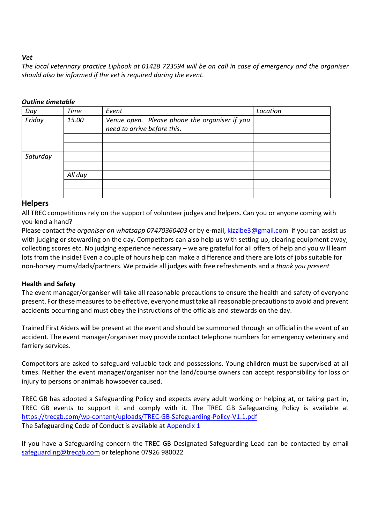#### *Vet*

*The local veterinary practice Liphook at 01428 723594 will be on call in case of emergency and the organiser should also be informed if the vet is required during the event.* 

#### *Outline timetable*

| Day      | <b>Time</b>                                                                           | Event | Location |
|----------|---------------------------------------------------------------------------------------|-------|----------|
| Friday   | Venue open. Please phone the organiser if you<br>15.00<br>need to arrive before this. |       |          |
|          |                                                                                       |       |          |
|          |                                                                                       |       |          |
| Saturday |                                                                                       |       |          |
|          |                                                                                       |       |          |
|          | All day                                                                               |       |          |
|          |                                                                                       |       |          |
|          |                                                                                       |       |          |

#### **Helpers**

All TREC competitions rely on the support of volunteer judges and helpers. Can you or anyone coming with you lend a hand?

Please contact *the organiser on whatsapp 07470360403* or by e-mail, kizzibe3@gmail.com if you can assist us with judging or stewarding on the day. Competitors can also help us with setting up, clearing equipment away, collecting scores etc. No judging experience necessary – we are grateful for all offers of help and you will learn lots from the inside! Even a couple of hours help can make a difference and there are lots of jobs suitable for non-horsey mums/dads/partners. We provide all judges with free refreshments and a *thank you present* 

#### **Health and Safety**

The event manager/organiser will take all reasonable precautions to ensure the health and safety of everyone present. For these measures to be effective, everyone must take all reasonable precautions to avoid and prevent accidents occurring and must obey the instructions of the officials and stewards on the day.

Trained First Aiders will be present at the event and should be summoned through an official in the event of an accident. The event manager/organiser may provide contact telephone numbers for emergency veterinary and farriery services.

Competitors are asked to safeguard valuable tack and possessions. Young children must be supervised at all times. Neither the event manager/organiser nor the land/course owners can accept responsibility for loss or injury to persons or animals howsoever caused.

TREC GB has adopted a Safeguarding Policy and expects every adult working or helping at, or taking part in, TREC GB events to support it and comply with it. The TREC GB Safeguarding Policy is available at https://trecgb.com/wp-content/uploads/TREC-GB-Safeguarding-Policy-V1.1.pdf The Safeguarding Code of Conduct is available at Appendix 1

If you have a Safeguarding concern the TREC GB Designated Safeguarding Lead can be contacted by email safeguarding@trecgb.com or telephone 07926 980022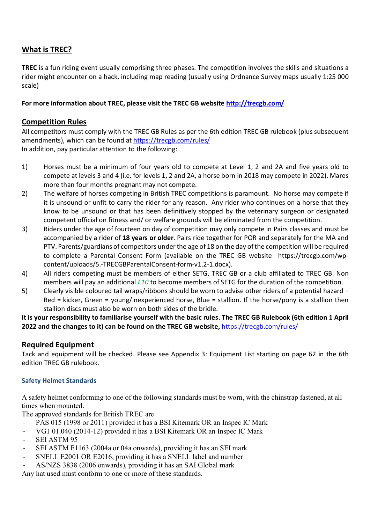## **What is TREC?**

**TREC** is a fun riding event usually comprising three phases. The competition involves the skills and situations a rider might encounter on a hack, including map reading (usually using Ordnance Survey maps usually 1:25 000 scale)

**For more information about TREC, please visit the TREC GB website http://trecgb.com/** 

### **Competition Rules**

All competitors must comply with the TREC GB Rules as per the 6th edition TREC GB rulebook (plus subsequent amendments), which can be found at https://trecgb.com/rules/ In addition, pay particular attention to the following:

- 1) Horses must be a minimum of four years old to compete at Level 1, 2 and 2A and five years old to compete at levels 3 and 4 (i.e. for levels 1, 2 and 2A, a horse born in 2018 may compete in 2022). Mares more than four months pregnant may not compete.
- 2) The welfare of horses competing in British TREC competitions is paramount. No horse may compete if it is unsound or unfit to carry the rider for any reason. Any rider who continues on a horse that they know to be unsound or that has been definitively stopped by the veterinary surgeon or designated competent official on fitness and/ or welfare grounds will be eliminated from the competition.
- 3) Riders under the age of fourteen on day of competition may only compete in Pairs classes and must be accompanied by a rider of **18 years or older**. Pairs ride together for POR and separately for the MA and PTV. Parents/guardians of competitors under the age of 18 on the day of the competition will be required to complete a Parental Consent Form (available on the TREC GB website https://trecgb.com/wpcontent/uploads/5.-TRECGBParentalConsent-form-v1.2-1.docx).
- 4) All riders competing must be members of either SETG, TREC GB or a club affiliated to TREC GB. Non members will pay an additional *£10* to become members of SETG for the duration of the competition.
- 5) Clearly visible coloured tail wraps/ribbons should be worn to advise other riders of a potential hazard Red = kicker, Green = young/inexperienced horse, Blue = stallion. If the horse/pony is a stallion then stallion discs must also be worn on both sides of the bridle.

**It is your responsibility to familiarise yourself with the basic rules. The TREC GB Rulebook (6th edition 1 April 2022 and the changes to it) can be found on the TREC GB website,** https://trecgb.com/rules/

### **Required Equipment**

Tack and equipment will be checked. Please see Appendix 3: Equipment List starting on page 62 in the 6th edition TREC GB rulebook.

#### **Safety Helmet Standards**

A safety helmet conforming to one of the following standards must be worn, with the chinstrap fastened, at all times when mounted.

The approved standards for British TREC are

- PAS 015 (1998 or 2011) provided it has a BSI Kitemark OR an Inspec IC Mark
- VG1 01.040 (2014-12) provided it has a BSI Kitemark OR an Inspec IC Mark
- SEI ASTM 95
- SEI ASTM F1163 (2004a or 04a onwards), providing it has an SEI mark
- SNELL E2001 OR E2016, providing it has a SNELL label and number
- AS/NZS 3838 (2006 onwards), providing it has an SAI Global mark

Any hat used must conform to one or more of these standards.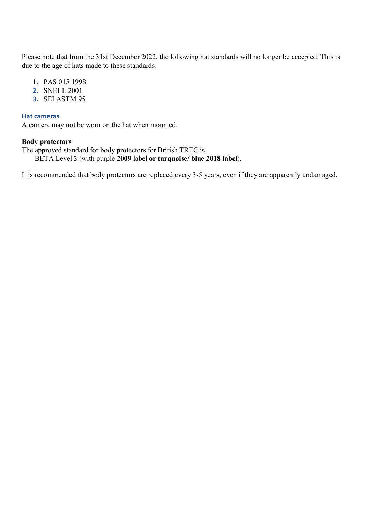Please note that from the 31st December 2022, the following hat standards will no longer be accepted. This is due to the age of hats made to these standards:

- 1. PAS 015 1998
- **2.** SNELL 2001
- **3.** SEI ASTM 95

#### **Hat cameras**

A camera may not be worn on the hat when mounted.

#### **Body protectors**

The approved standard for body protectors for British TREC is BETA Level 3 (with purple **2009** label **or turquoise/ blue 2018 label**).

It is recommended that body protectors are replaced every 3-5 years, even if they are apparently undamaged.